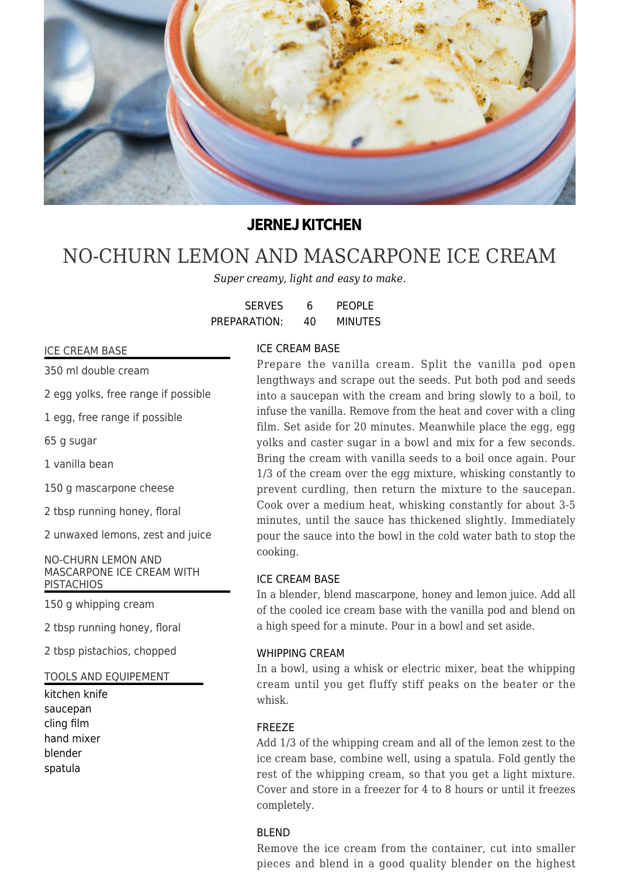

# **JERNEJ KITCHEN**

# [NO-CHURN LEMON AND MASCARPONE ICE CREAM](https://jernejkitchen.com/recipes/dairy/no-churn-lemon-and-mascarpone-ice-cream)

*Super creamy, light and easy to make.*

| <b>SERVES</b> | 6  | <b>PEOPLE</b>  |
|---------------|----|----------------|
| PREPARATION:  | 40 | <b>MINUTES</b> |

### ICE CREAM BASE

350 ml double cream

2 egg yolks, free range if possible

1 egg, free range if possible

65 g sugar

1 vanilla bean

150 g mascarpone cheese

2 tbsp running honey, floral

2 unwaxed lemons, zest and juice

NO-CHURN LEMON AND MASCARPONE ICE CREAM WITH **PISTACHIOS** 

150 g whipping cream

2 tbsp running honey, floral

2 tbsp pistachios, chopped

TOOLS AND EQUIPEMENT

kitchen knife saucepan cling film hand mixer blender spatula

# ICE CREAM BASE

Prepare the vanilla cream. Split the vanilla pod open lengthways and scrape out the seeds. Put both pod and seeds into a saucepan with the cream and bring slowly to a boil, to infuse the vanilla. Remove from the heat and cover with a cling film. Set aside for 20 minutes. Meanwhile place the egg, egg yolks and caster sugar in a bowl and mix for a few seconds. Bring the cream with vanilla seeds to a boil once again. Pour 1/3 of the cream over the egg mixture, whisking constantly to prevent curdling, then return the mixture to the saucepan. Cook over a medium heat, whisking constantly for about 3-5 minutes, until the sauce has thickened slightly. Immediately pour the sauce into the bowl in the cold water bath to stop the cooking.

# ICE CREAM BASE

In a blender, blend mascarpone, honey and lemon juice. Add all of the cooled ice cream base with the vanilla pod and blend on a high speed for a minute. Pour in a bowl and set aside.

### WHIPPING CREAM

In a bowl, using a whisk or electric mixer, beat the whipping cream until you get fluffy stiff peaks on the beater or the whisk.

### FREEZE

Add 1/3 of the whipping cream and all of the lemon zest to the ice cream base, combine well, using a spatula. Fold gently the rest of the whipping cream, so that you get a light mixture. Cover and store in a freezer for 4 to 8 hours or until it freezes completely.

### BLEND

Remove the ice cream from the container, cut into smaller pieces and blend in a good quality blender on the highest